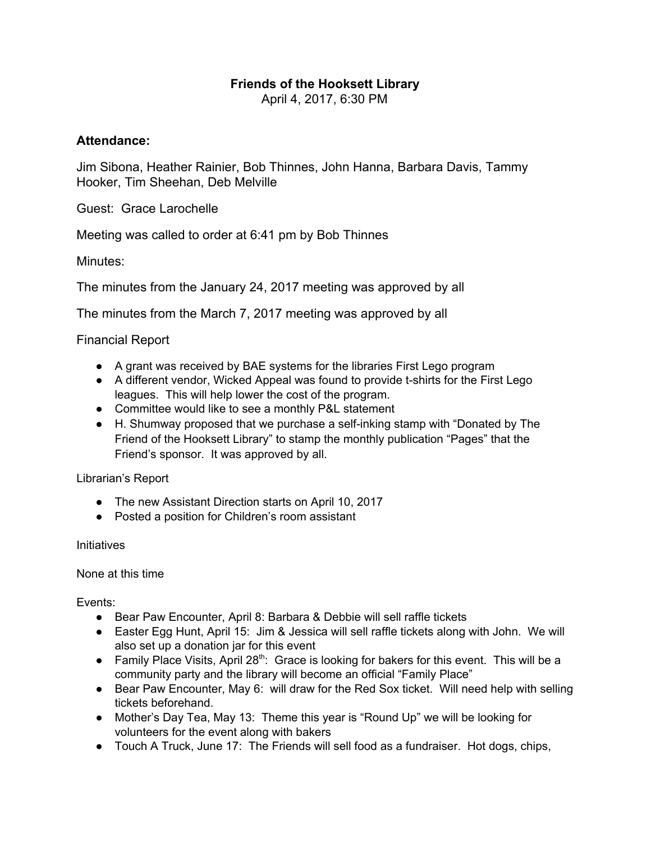## **Friends of the Hooksett Library**

April 4, 2017, 6:30 PM

## **Attendance:**

Jim Sibona, Heather Rainier, Bob Thinnes, John Hanna, Barbara Davis, Tammy Hooker, Tim Sheehan, Deb Melville

Guest: Grace Larochelle

Meeting was called to order at 6:41 pm by Bob Thinnes

Minutes:

The minutes from the January 24, 2017 meeting was approved by all

The minutes from the March 7, 2017 meeting was approved by all

## Financial Report

- A grant was received by BAE systems for the libraries First Lego program
- A different vendor, Wicked Appeal was found to provide t-shirts for the First Lego leagues. This will help lower the cost of the program.
- Committee would like to see a monthly P&L statement
- H. Shumway proposed that we purchase a self-inking stamp with "Donated by The Friend of the Hooksett Library" to stamp the monthly publication "Pages" that the Friend's sponsor. It was approved by all.

Librarian's Report

- The new Assistant Direction starts on April 10, 2017
- Posted a position for Children's room assistant

## **Initiatives**

None at this time

Events:

- Bear Paw Encounter, April 8: Barbara & Debbie will sell raffle tickets
- Easter Egg Hunt, April 15: Jim & Jessica will sell raffle tickets along with John. We will also set up a donation jar for this event
- Family Place Visits, April 28<sup>th</sup>: Grace is looking for bakers for this event. This will be a community party and the library will become an official "Family Place"
- Bear Paw Encounter, May 6: will draw for the Red Sox ticket. Will need help with selling tickets beforehand.
- Mother's Day Tea, May 13: Theme this year is "Round Up" we will be looking for volunteers for the event along with bakers
- Touch A Truck, June 17: The Friends will sell food as a fundraiser. Hot dogs, chips,